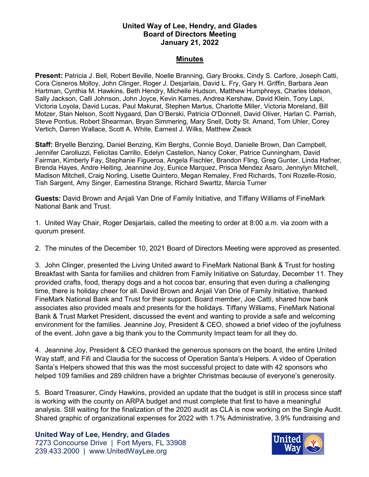## **United Way of Lee, Hendry, and Glades Board of Directors Meeting January 21, 2022**

## **Minutes**

**Present:** Patricia J. Bell, Robert Beville, Noelle Branning, Gary Brooks, Cindy S. Carfore, Joseph Catti, Cora Cisneros Molloy, John Clinger, Roger J. Desjarlais, David L. Fry, Gary H. Griffin, Barbara Jean Hartman, Cynthia M. Hawkins, Beth Hendry, Michelle Hudson, Matthew Humphreys, Charles Idelson, Sally Jackson, Calli Johnson, John Joyce, Kevin Karnes, Andrea Kershaw, David Klein, Tony Lapi, Victoria Loyola, David Lucas, Paul Makurat, Stephen Martus, Charlotte Miller, Victoria Moreland, Bill Motzer, Stan Nelson, Scott Nygaard, Dan O'Berski, Patricia O'Donnell, David Oliver, Harlan C. Parrish, Steve Pontius, Robert Shearman, Bryan Simmering, Mary Snell, Dotty St. Amand, Tom Uhler, Corey Vertich, Darren Wallace, Scott A. White, Earnest J. Wilks, Matthew Zwack

**Staff:** Bryelle Benzing, Daniel Benzing, Kim Berghs, Connie Boyd, Danielle Brown, Dan Campbell, Jennifer Carolluzzi, Felicitas Carrillo, Edelyn Castellon, Nancy Coker, Patrice Cunningham, David Fairman, Kimberly Fay, Stephanie Figueroa, Angela Fischler, Brandon Fling, Greg Gunter, Linda Hafner, Brenda Hayes, Andre Heiting, Jeannine Joy, Eunice Marquez, Prisca Mendez Asaro, Jennylyn Mitchell, Madison Mitchell, Craig Norling, Lisette Quintero, Megan Remaley, Fred Richards, Toni Rozelle-Rosio, Tish Sargent, Amy Singer, Earnestina Strange, Richard Swarttz, Marcia Turner

**Guests:** David Brown and Anjali Van Drie of Family Initiative, and Tiffany Williams of FineMark National Bank and Trust.

1. United Way Chair, Roger Desjarlais, called the meeting to order at 8:00 a.m. via zoom with a quorum present.

2. The minutes of the December 10, 2021 Board of Directors Meeting were approved as presented.

3. John Clinger, presented the Living United award to FineMark National Bank & Trust for hosting Breakfast with Santa for families and children from Family Initiative on Saturday, December 11. They provided crafts, food, therapy dogs and a hot cocoa bar, ensuring that even during a challenging time, there is holiday cheer for all. David Brown and Anjali Van Drie of Family Initiative, thanked FineMark National Bank and Trust for their support. Board member, Joe Catti, shared how bank associates also provided meals and presents for the holidays. Tiffany Williams, FineMark National Bank & Trust Market President, discussed the event and wanting to provide a safe and welcoming environment for the families. Jeannine Joy, President & CEO, showed a brief video of the joyfulness of the event. John gave a big thank you to the Community Impact team for all they do.

4. Jeannine Joy, President & CEO thanked the generous sponsors on the board, the entire United Way staff, and Fifi and Claudia for the success of Operation Santa's Helpers. A video of Operation Santa's Helpers showed that this was the most successful project to date with 42 sponsors who helped 109 families and 289 children have a brighter Christmas because of everyone's generosity.

5. Board Treasurer, Cindy Hawkins, provided an update that the budget is still in process since staff is working with the county on ARPA budget and must complete that first to have a meaningful analysis. Still waiting for the finalization of the 2020 audit as CLA is now working on the Single Audit. Shared graphic of organizational expenses for 2022 with 1.7% Administrative, 3.9% fundraising and

## **United Way of Lee, Hendry, and Glades**

7273 Concourse Drive | Fort Myers, FL 33908 239.433.2000 | www.UnitedWayLee.org